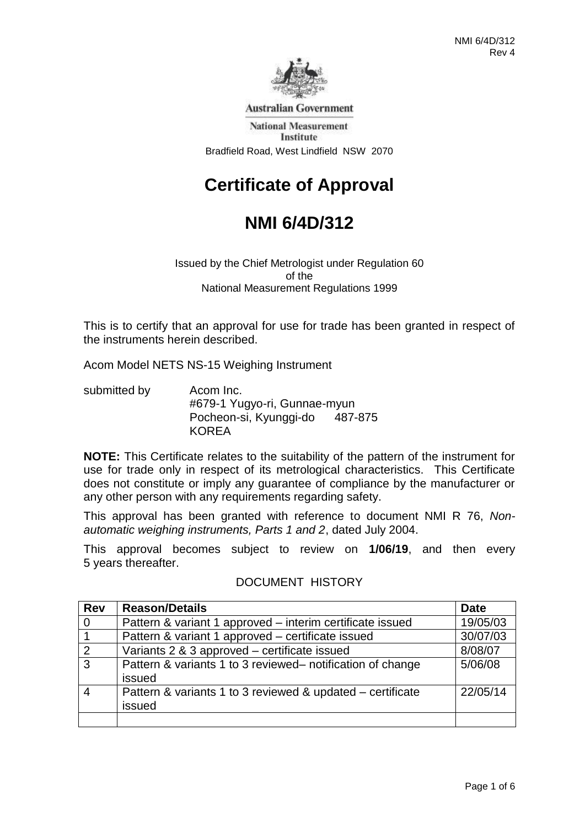

**Australian Government** 

**National Measurement** Institute Bradfield Road, West Lindfield NSW 2070

# **Certificate of Approval**

# **NMI 6/4D/312**

Issued by the Chief Metrologist under Regulation 60 of the National Measurement Regulations 1999

This is to certify that an approval for use for trade has been granted in respect of the instruments herein described.

Acom Model NETS NS-15 Weighing Instrument

submitted by Acom Inc. #679-1 Yugyo-ri, Gunnae-myun Pocheon-si, Kyunggi-do 487-875 KOREA

**NOTE:** This Certificate relates to the suitability of the pattern of the instrument for use for trade only in respect of its metrological characteristics. This Certificate does not constitute or imply any guarantee of compliance by the manufacturer or any other person with any requirements regarding safety.

This approval has been granted with reference to document NMI R 76, *Nonautomatic weighing instruments, Parts 1 and 2*, dated July 2004.

This approval becomes subject to review on **1/06/19**, and then every 5 years thereafter.

| <b>Rev</b>     | <b>Reason/Details</b>                                                | <b>Date</b> |
|----------------|----------------------------------------------------------------------|-------------|
| $\overline{0}$ | Pattern & variant 1 approved – interim certificate issued            | 19/05/03    |
| $\overline{1}$ | Pattern & variant 1 approved – certificate issued                    | 30/07/03    |
| $\overline{2}$ | Variants 2 & 3 approved - certificate issued                         | 8/08/07     |
| $\overline{3}$ | Pattern & variants 1 to 3 reviewed- notification of change<br>issued | 5/06/08     |
| $\overline{4}$ | Pattern & variants 1 to 3 reviewed & updated – certificate<br>issued | 22/05/14    |
|                |                                                                      |             |

### DOCUMENT HISTORY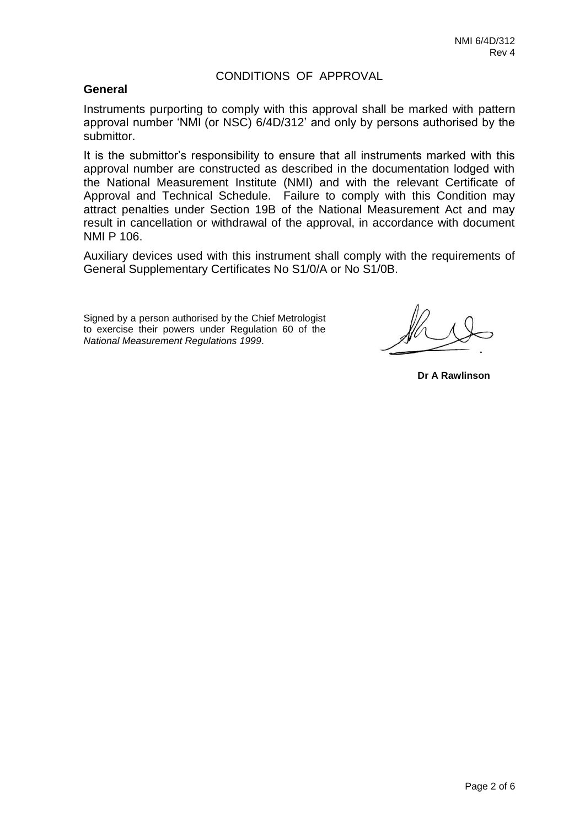#### CONDITIONS OF APPROVAL

#### **General**

Instruments purporting to comply with this approval shall be marked with pattern approval number 'NMI (or NSC) 6/4D/312' and only by persons authorised by the submittor.

It is the submittor's responsibility to ensure that all instruments marked with this approval number are constructed as described in the documentation lodged with the National Measurement Institute (NMI) and with the relevant Certificate of Approval and Technical Schedule. Failure to comply with this Condition may attract penalties under Section 19B of the National Measurement Act and may result in cancellation or withdrawal of the approval, in accordance with document NMI P 106.

Auxiliary devices used with this instrument shall comply with the requirements of General Supplementary Certificates No S1/0/A or No S1/0B.

Signed by a person authorised by the Chief Metrologist to exercise their powers under Regulation 60 of the *National Measurement Regulations 1999*.

**Dr A Rawlinson**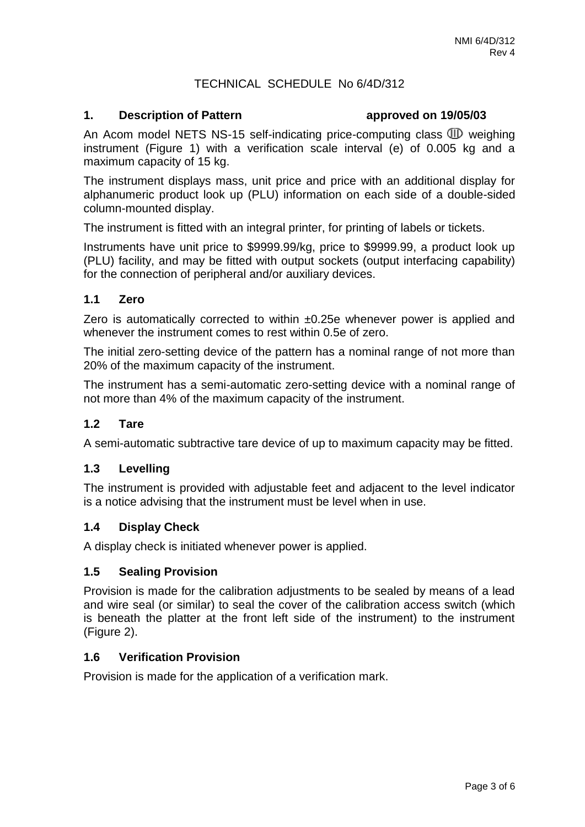### TECHNICAL SCHEDULE No 6/4D/312

#### **1. Description of Pattern approved on 19/05/03**

An Acom model NETS NS-15 self-indicating price-computing class  $\mathbb{D}$  weighing instrument (Figure 1) with a verification scale interval (e) of 0.005 kg and a maximum capacity of 15 kg.

The instrument displays mass, unit price and price with an additional display for alphanumeric product look up (PLU) information on each side of a double-sided column-mounted display.

The instrument is fitted with an integral printer, for printing of labels or tickets.

Instruments have unit price to \$9999.99/kg, price to \$9999.99, a product look up (PLU) facility, and may be fitted with output sockets (output interfacing capability) for the connection of peripheral and/or auxiliary devices.

#### **1.1 Zero**

Zero is automatically corrected to within ±0.25e whenever power is applied and whenever the instrument comes to rest within 0.5e of zero.

The initial zero-setting device of the pattern has a nominal range of not more than 20% of the maximum capacity of the instrument.

The instrument has a semi-automatic zero-setting device with a nominal range of not more than 4% of the maximum capacity of the instrument.

### **1.2 Tare**

A semi-automatic subtractive tare device of up to maximum capacity may be fitted.

#### **1.3 Levelling**

The instrument is provided with adjustable feet and adjacent to the level indicator is a notice advising that the instrument must be level when in use.

#### **1.4 Display Check**

A display check is initiated whenever power is applied.

#### **1.5 Sealing Provision**

Provision is made for the calibration adjustments to be sealed by means of a lead and wire seal (or similar) to seal the cover of the calibration access switch (which is beneath the platter at the front left side of the instrument) to the instrument (Figure 2).

#### **1.6 Verification Provision**

Provision is made for the application of a verification mark.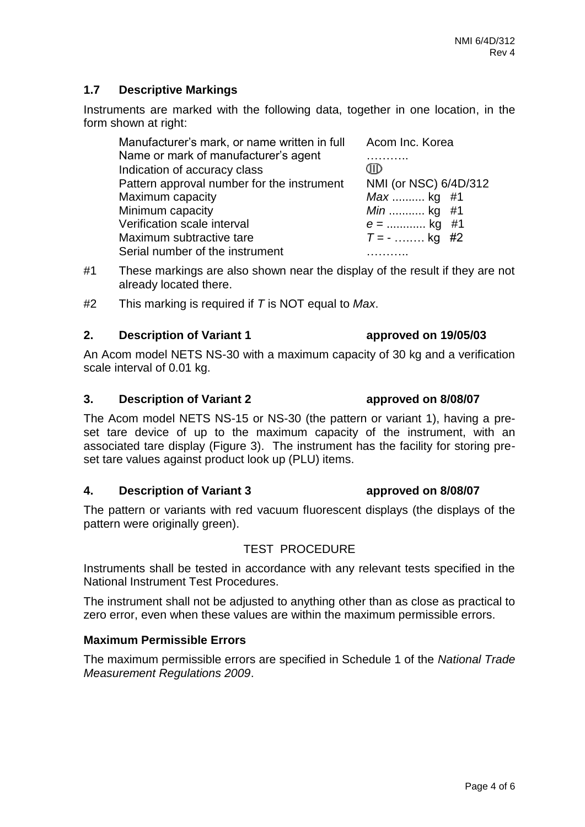## **1.7 Descriptive Markings**

Instruments are marked with the following data, together in one location, in the form shown at right:

| Manufacturer's mark, or name written in full | Acom Inc. Korea       |  |
|----------------------------------------------|-----------------------|--|
| Name or mark of manufacturer's agent         |                       |  |
| Indication of accuracy class                 | AID                   |  |
| Pattern approval number for the instrument   | NMI (or NSC) 6/4D/312 |  |
| Maximum capacity                             | Max  kg #1            |  |
| Minimum capacity                             | <i>Min</i> kg #1      |  |
| Verification scale interval                  | $e =$ kg #1           |  |
| Maximum subtractive tare                     | $T = -$ kg #2         |  |
| Serial number of the instrument              |                       |  |

- #1 These markings are also shown near the display of the result if they are not already located there.
- #2 This marking is required if *T* is NOT equal to *Max*.

#### **2. Description of Variant 1 approved on 19/05/03**

An Acom model NETS NS-30 with a maximum capacity of 30 kg and a verification scale interval of 0.01 kg.

### **3. Description of Variant 2 approved on 8/08/07**

The Acom model NETS NS-15 or NS-30 (the pattern or variant 1), having a preset tare device of up to the maximum capacity of the instrument, with an associated tare display (Figure 3). The instrument has the facility for storing preset tare values against product look up (PLU) items.

### **4. Description of Variant 3 approved on 8/08/07**

The pattern or variants with red vacuum fluorescent displays (the displays of the pattern were originally green).

## TEST PROCEDURE

Instruments shall be tested in accordance with any relevant tests specified in the National Instrument Test Procedures.

The instrument shall not be adjusted to anything other than as close as practical to zero error, even when these values are within the maximum permissible errors.

### **Maximum Permissible Errors**

The maximum permissible errors are specified in Schedule 1 of the *National Trade Measurement Regulations 2009*.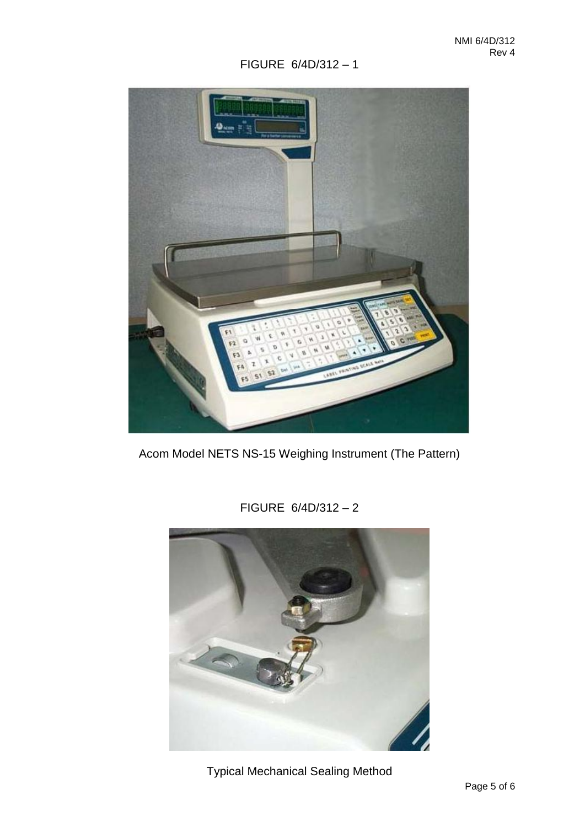# FIGURE 6/4D/312 – 1



Acom Model NETS NS-15 Weighing Instrument (The Pattern)

FIGURE 6/4D/312 – 2



Typical Mechanical Sealing Method